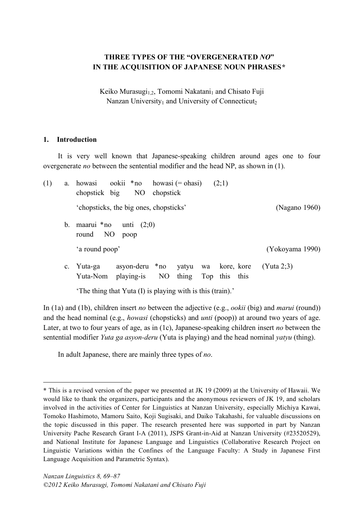# **THREE TYPES OF THE "OVERGENERATED** *NO***" IN THE ACQUISITION OF JAPANESE NOUN PHRASES\***

Keiko Murasugi<sub>1,2</sub>, Tomomi Nakatani<sub>1</sub> and Chisato Fuji Nanzan University<sub>1</sub> and University of Connecticut<sub>2</sub>

#### **1. Introduction**

 $\overline{a}$ 

It is very well known that Japanese-speaking children around ages one to four overgenerate *no* between the sentential modifier and the head NP, as shown in (1).

| (1) | a.          | $\text{ookii}$ * no howasi (= ohasi)<br>(2;1)<br>howasi<br>NO<br>chopstick big<br>chopstick                       |                 |
|-----|-------------|-------------------------------------------------------------------------------------------------------------------|-----------------|
|     |             | 'chopsticks, the big ones, chopsticks'                                                                            | (Nagano 1960)   |
|     | b.          | maarui *no<br>unti $(2,0)$<br>NO<br>round<br>poop                                                                 |                 |
|     |             | 'a round poop'                                                                                                    | (Yokoyama 1990) |
|     | $c_{\cdot}$ | asyon-deru *no<br>kore, kore<br>Yuta-ga<br>yatyu<br>wa<br>NO.<br>Top this this<br>playing-is<br>thing<br>Yuta-Nom | (Yuta 2:3)      |
|     |             | The thing that Yuta (I) is playing with is this (train).                                                          |                 |

In (1a) and (1b), children insert *no* between the adjective (e.g., *ookii* (big) and *marui* (round)) and the head nominal (e.g., *howasi* (chopsticks) and *unti* (poop)) at around two years of age. Later, at two to four years of age, as in (1c), Japanese-speaking children insert *no* between the sentential modifier *Yuta ga asyon-deru* (Yuta is playing) and the head nominal *yatyu* (thing).

In adult Japanese, there are mainly three types of *no*.

**<sup>\*</sup>** This is a revised version of the paper we presented at JK 19 (2009) at the University of Hawaii. We would like to thank the organizers, participants and the anonymous reviewers of JK 19, and scholars involved in the activities of Center for Linguistics at Nanzan University, especially Michiya Kawai, Tomoko Hashimoto, Mamoru Saito, Koji Sugisaki, and Daiko Takahashi, for valuable discussions on the topic discussed in this paper. The research presented here was supported in part by Nanzan University Pache Research Grant I-A (2011), JSPS Grant-in-Aid at Nanzan University (#23520529), and National Institute for Japanese Language and Linguistics (Collaborative Research Project on Linguistic Variations within the Confines of the Language Faculty: A Study in Japanese First Language Acquisition and Parametric Syntax).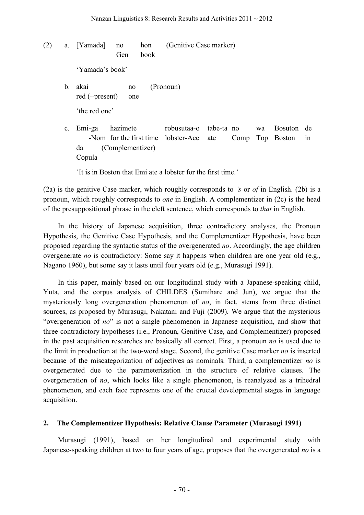(2) a. [Yamada] no hon (Genitive Case marker) Gen book 'Yamada's book' b. akai no (Pronoun) red (+present) one 'the red one' c. Emi-ga hazimete robusutaa-o tabe-ta no wa Bosuton de -Nom for the first time lobster-Acc ate Comp Top Boston in da (Complementizer) Copula

'It is in Boston that Emi ate a lobster for the first time.'

(2a) is the genitive Case marker, which roughly corresponds to *'s* or *of* in English. (2b) is a pronoun, which roughly corresponds to *one* in English. A complementizer in (2c) is the head of the presuppositional phrase in the cleft sentence, which corresponds to *that* in English.

In the history of Japanese acquisition, three contradictory analyses, the Pronoun Hypothesis, the Genitive Case Hypothesis, and the Complementizer Hypothesis, have been proposed regarding the syntactic status of the overgenerated *no*. Accordingly, the age children overgenerate *no* is contradictory: Some say it happens when children are one year old (e.g., Nagano 1960), but some say it lasts until four years old (e.g., Murasugi 1991).

In this paper, mainly based on our longitudinal study with a Japanese-speaking child, Yuta, and the corpus analysis of CHILDES (Sumihare and Jun), we argue that the mysteriously long overgeneration phenomenon of *no*, in fact, stems from three distinct sources, as proposed by Murasugi, Nakatani and Fuji (2009). We argue that the mysterious "overgeneration of *no*" is not a single phenomenon in Japanese acquisition, and show that three contradictory hypotheses (i.e., Pronoun, Genitive Case, and Complementizer) proposed in the past acquisition researches are basically all correct. First, a pronoun *no* is used due to the limit in production at the two-word stage. Second, the genitive Case marker *no* is inserted because of the miscategorization of adjectives as nominals. Third, a complementizer *no* is overgenerated due to the parameterization in the structure of relative clauses. The overgeneration of *no*, which looks like a single phenomenon, is reanalyzed as a trihedral phenomenon, and each face represents one of the crucial developmental stages in language acquisition.

### **2. The Complementizer Hypothesis: Relative Clause Parameter (Murasugi 1991)**

Murasugi (1991), based on her longitudinal and experimental study with Japanese-speaking children at two to four years of age, proposes that the overgenerated *no* is a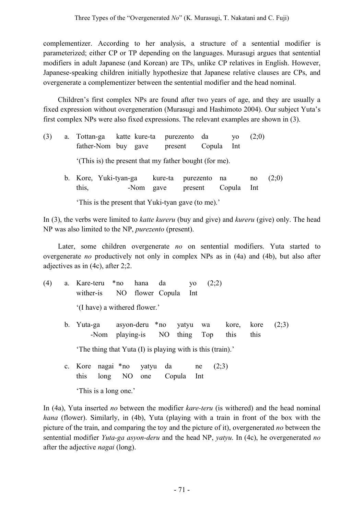complementizer. According to her analysis, a structure of a sentential modifier is parameterized; either CP or TP depending on the languages. Murasugi argues that sentential modifiers in adult Japanese (and Korean) are TPs, unlike CP relatives in English. However, Japanese-speaking children initially hypothesize that Japanese relative clauses are CPs, and overgenerate a complementizer between the sentential modifier and the head nominal.

Children's first complex NPs are found after two years of age, and they are usually a fixed expression without overgeneration (Murasugi and Hashimoto 2004). Our subject Yuta's first complex NPs were also fixed expressions. The relevant examples are shown in (3).

| (3) | a. Tottan-ga katte kure-ta purezento da<br>father-Nom buy gave |  |      | present |                      | Copula | V <sub>O</sub><br>– Int | (2,0)     |       |
|-----|----------------------------------------------------------------|--|------|---------|----------------------|--------|-------------------------|-----------|-------|
|     | (This is) the present that my father bought (for me).          |  |      |         |                      |        |                         |           |       |
|     | b. Kore, Yuki-tyan-ga kure-ta<br>this,                         |  | -Nom | gave    | purezento<br>present | na     | Copula                  | no<br>Int | (2;0) |

'This is the present that Yuki-tyan gave (to me).'

In (3), the verbs were limited to *katte kureru* (buy and give) and *kureru* (give) only. The head NP was also limited to the NP, *purezento* (present).

Later, some children overgenerate *no* on sentential modifiers. Yuta started to overgenerate *no* productively not only in complex NPs as in (4a) and (4b), but also after adjectives as in (4c), after 2;2.

(4) a. Kare-teru \*no hana da yo (2;2) wither-is NO flower Copula Int '(I have) a withered flower.' b. Yuta-ga asyon-deru \*no yatyu wa kore, kore (2;3) -Nom playing-is NO thing Top this this

'The thing that Yuta (I) is playing with is this (train).'

c. Kore nagai \*no yatyu da ne (2;3) this long NO one Copula Int

'This is a long one.'

In (4a), Yuta inserted *no* between the modifier *kare-teru* (is withered) and the head nominal *hana* (flower). Similarly, in (4b), Yuta (playing with a train in front of the box with the picture of the train, and comparing the toy and the picture of it), overgenerated *no* between the sentential modifier *Yuta-ga asyon-deru* and the head NP, *yatyu*. In (4c), he overgenerated *no* after the adjective *nagai* (long).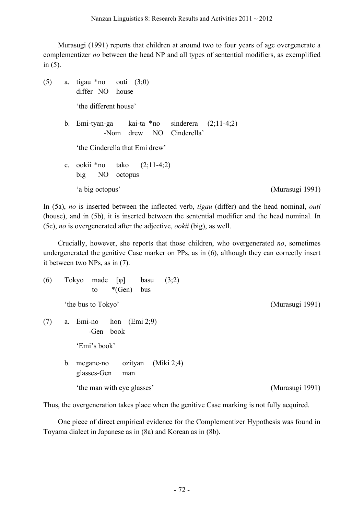Murasugi (1991) reports that children at around two to four years of age overgenerate a complementizer *no* between the head NP and all types of sentential modifiers, as exemplified in (5).

(5) a. tigau \*no outi (3;0) differ NO house 'the different house' b. Emi-tyan-ga kai-ta \*no sinderera (2;11-4;2) -Nom drew NO Cinderella' 'the Cinderella that Emi drew' c. ookii \*no tako  $(2;11-4;2)$ big NO octopus 'a big octopus' (Murasugi 1991)

In (5a), *no* is inserted between the inflected verb, *tigau* (differ) and the head nominal, *outi* (house), and in (5b), it is inserted between the sentential modifier and the head nominal. In (5c), *no* is overgenerated after the adjective, *ookii* (big), as well.

Crucially, however, she reports that those children, who overgenerated *no*, sometimes undergenerated the genitive Case marker on PPs, as in (6), although they can correctly insert it between two NPs, as in (7).

| (6) | Tokyo<br>(3;2)<br>made<br>basu<br>$\lceil \varphi \rceil$<br>$*(Gen)$<br>bus<br>to |                 |
|-----|------------------------------------------------------------------------------------|-----------------|
|     | 'the bus to Tokyo'                                                                 | (Murasugi 1991) |
| (7) | hon<br>$\text{Emi } 2;9$<br>Emi-no<br>a.<br>book<br>-Gen                           |                 |
|     | 'Emi's book'                                                                       |                 |
|     | (Miki 2;4)<br>b.<br>ozityan<br>megane-no<br>glasses-Gen<br>man                     |                 |
|     | 'the man with eye glasses'                                                         | (Murasugi 1991) |

Thus, the overgeneration takes place when the genitive Case marking is not fully acquired.

One piece of direct empirical evidence for the Complementizer Hypothesis was found in Toyama dialect in Japanese as in (8a) and Korean as in (8b).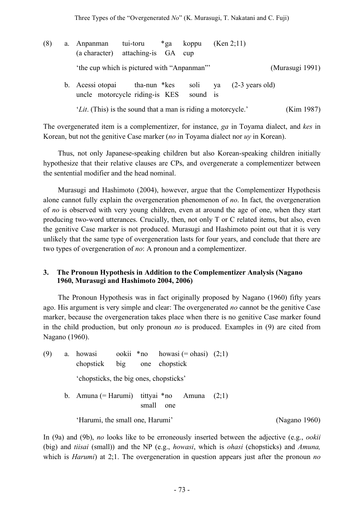(8) a. Anpanman tui-toru \*ga koppu (Ken 2;11) (a character) attaching-is GA cup 'the cup which is pictured with "Anpanman"' (Murasugi 1991) b. Acessi otopai tha-nun \*kes soli ya (2-3 years old) uncle motorcycle riding-is KES sound is '*Lit*. (This) is the sound that a man is riding a motorcycle.' (Kim 1987)

The overgenerated item is a complementizer, for instance, *ga* in Toyama dialect, and *kes* in Korean, but not the genitive Case marker (*no* in Toyama dialect nor *uy* in Korean).

Thus, not only Japanese-speaking children but also Korean-speaking children initially hypothesize that their relative clauses are CPs, and overgenerate a complementizer between the sentential modifier and the head nominal.

Murasugi and Hashimoto (2004), however, argue that the Complementizer Hypothesis alone cannot fully explain the overgeneration phenomenon of *no*. In fact, the overgeneration of *no* is observed with very young children, even at around the age of one, when they start producing two-word utterances. Crucially, then, not only T or C related items, but also, even the genitive Case marker is not produced. Murasugi and Hashimoto point out that it is very unlikely that the same type of overgeneration lasts for four years, and conclude that there are two types of overgeneration of *no*: A pronoun and a complementizer.

### **3. The Pronoun Hypothesis in Addition to the Complementizer Analysis (Nagano 3. 1960, Murasugi and Hashimoto 2004, 2006)**

The Pronoun Hypothesis was in fact originally proposed by Nagano (1960) fifty years ago. His argument is very simple and clear: The overgenerated *no* cannot be the genitive Case marker, because the overgeneration takes place when there is no genitive Case marker found in the child production, but only pronoun *no* is produced. Examples in (9) are cited from Nagano (1960).

(9) a. howasi ookii \*no howasi (= ohasi)  $(2,1)$ chopstick big one chopstick 'chopsticks, the big ones, chopsticks' b. Amuna (= Harumi) tittyai \*no Amuna  $(2,1)$ small one

'Harumi, the small one, Harumi' (Nagano 1960)

In (9a) and (9b), *no* looks like to be erroneously inserted between the adjective (e.g., *ookii* (big) and *tiisai* (small)) and the NP (e.g., *howasi*, which is *ohasi* (chopsticks) and *Amuna,* which is *Harumi*) at 2;1. The overgeneration in question appears just after the pronoun *no*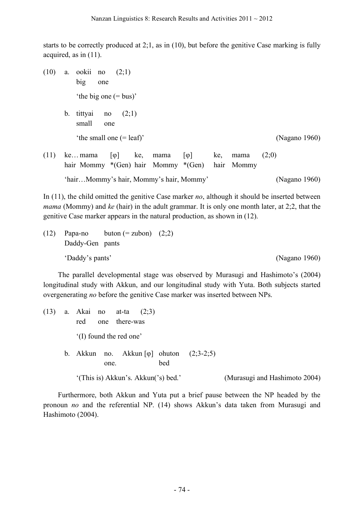starts to be correctly produced at 2;1, as in (10), but before the genitive Case marking is fully acquired, as in (11).

(10) a. ookii no (2;1) big one 'the big one (= bus)' b. tittyai no  $(2;1)$ small one 'the small one (= leaf)' (Nagano 1960) (11) ke…mama  $\lceil \phi \rceil$  ke, mama  $\lceil \phi \rceil$  ke, mama (2;0) hair Mommy \*(Gen) hair Mommy \*(Gen) hair Mommy

In (11), the child omitted the genitive Case marker *no*, although it should be inserted between *mama* (Mommy) and *ke* (hair) in the adult grammar. It is only one month later, at 2;2, that the genitive Case marker appears in the natural production, as shown in (12).

'hair…Mommy's hair, Mommy's hair, Mommy' (Nagano 1960)

(12) Papa-no button (=zubon) 
$$
(2;2)
$$

\nDaddy-Gen pants

\n'Daddy's pants'

\n(Nagano 1960)

The parallel developmental stage was observed by Murasugi and Hashimoto's (2004) longitudinal study with Akkun, and our longitudinal study with Yuta. Both subjects started overgenerating *no* before the genitive Case marker was inserted between NPs.

(13) a. Akai no at-ta (2;3) red one there-was '(I) found the red one' b. Akkun no. Akkun  $[\varphi]$  ohuton  $(2,3-2,5)$ one. bed '(This is) Akkun's. Akkun('s) bed.' (Murasugi and Hashimoto 2004)

Furthermore, both Akkun and Yuta put a brief pause between the NP headed by the pronoun *no* and the referential NP. (14) shows Akkun's data taken from Murasugi and Hashimoto (2004).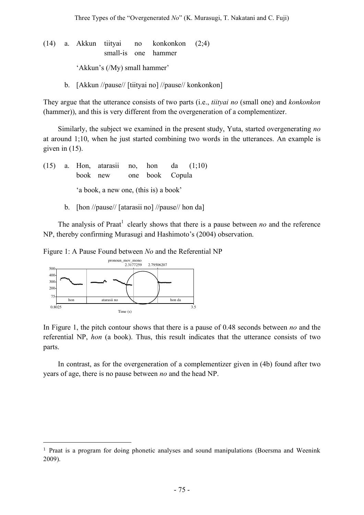(14) a. Akkun tiityai no konkonkon (2;4) small-is one hammer 'Akkun's (/My) small hammer'

b. [Akkun //pause// [tiityai no] //pause// konkonkon]

They argue that the utterance consists of two parts (i.e., *tiityai no* (small one) and *konkonkon* (hammer)), and this is very different from the overgeneration of a complementizer.

Similarly, the subject we examined in the present study, Yuta, started overgenerating *no* at around 1;10, when he just started combining two words in the utterances. An example is given in (15).

(15) a. Hon, atarasii no, hon da (1;10) book new one book Copula 'a book, a new one, (this is) a book'

b. [hon //pause// [atarasii no] //pause// hon da]

The analysis of Praat<sup>1</sup> clearly shows that there is a pause between *no* and the reference NP, thereby confirming Murasugi and Hashimoto's (2004) observation.

Figure 1: A Pause Found between *No* and the Referential NP



 $\overline{a}$ 

In Figure 1, the pitch contour shows that there is a pause of 0.48 seconds between *no* and the referential NP, *hon* (a book). Thus, this result indicates that the utterance consists of two parts.

In contrast, as for the overgeneration of a complementizer given in (4b) found after two years of age, there is no pause between *no* and the head NP.

<sup>1</sup> Praat is a program for doing phonetic analyses and sound manipulations (Boersma and Weenink 2009).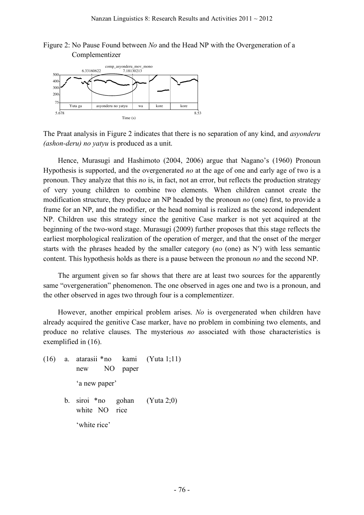Figure 2: No Pause Found between *No* and the Head NP with the Overgeneration of a Complementizer



The Praat analysis in Figure 2 indicates that there is no separation of any kind, and *asyonderu (ashon-deru) no yatyu* is produced as a unit.

Hence, Murasugi and Hashimoto (2004, 2006) argue that Nagano's (1960) Pronoun Hypothesis is supported, and the overgenerated *no* at the age of one and early age of two is a pronoun. They analyze that this *no* is, in fact, not an error, but reflects the production strategy of very young children to combine two elements. When children cannot create the modification structure, they produce an NP headed by the pronoun *no* (one) first, to provide a frame for an NP, and the modifier, or the head nominal is realized as the second independent NP. Children use this strategy since the genitive Case marker is not yet acquired at the beginning of the two-word stage. Murasugi (2009) further proposes that this stage reflects the earliest morphological realization of the operation of merger, and that the onset of the merger starts with the phrases headed by the smaller category (*no* (one) as N′) with less semantic content. This hypothesis holds as there is a pause between the pronoun *no* and the second NP.

The argument given so far shows that there are at least two sources for the apparently same "overgeneration" phenomenon. The one observed in ages one and two is a pronoun, and the other observed in ages two through four is a complementizer.

However, another empirical problem arises. *No* is overgenerated when children have already acquired the genitive Case marker, have no problem in combining two elements, and produce no relative clauses. The mysterious *no* associated with those characteristics is exemplified in (16).

- (16) a. atarasii \*no kami (Yuta 1;11) new NO paper 'a new paper'
	- b. siroi \*no gohan (Yuta 2;0) white NO rice 'white rice'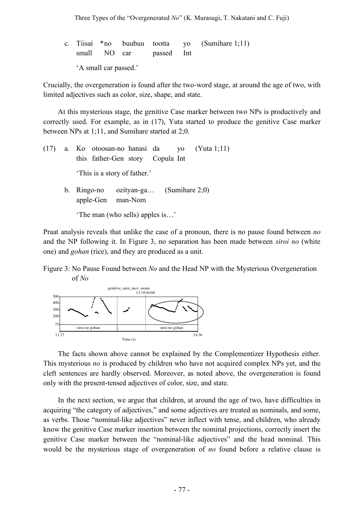c. Tiisai \*no buubuu tootta yo (Sumihare 1;11) small NO car passed Int 'A small car passed.'

Crucially, the overgeneration is found after the two-word stage, at around the age of two, with limited adjectives such as color, size, shape, and state.

At this mysterious stage, the genitive Case marker between two NPs is productively and correctly used. For example, as in (17), Yuta started to produce the genitive Case marker between NPs at 1;11, and Sumihare started at 2;0.

(17) a. Ko otoosan-no hanasi da yo (Yuta 1;11) this father-Gen story Copula Int 'This is a story of father.' b. Ringo-no ozityan-ga… (Sumihare 2;0) apple-Gen man-Nom 'The man (who sells) apples is…'

Praat analysis reveals that unlike the case of a pronoun, there is no pause found between *no* and the NP following it. In Figure 3, no separation has been made between *siroi no* (white one) and *gohan* (rice), and they are produced as a unit.

Figure 3: No Pause Found between *No* and the Head NP with the Mysterious Overgeneration of *No* 



The facts shown above cannot be explained by the Complementizer Hypothesis either. This mysterious *no* is produced by children who have not acquired complex NPs yet, and the cleft sentences are hardly observed. Moreover, as noted above, the overgeneration is found only with the present-tensed adjectives of color, size, and state.

In the next section, we argue that children, at around the age of two, have difficulties in acquiring "the category of adjectives," and some adjectives are treated as nominals, and some, as verbs. Those "nominal-like adjectives" never inflect with tense, and children, who already know the genitive Case marker insertion between the nominal projections, correctly insert the genitive Case marker between the "nominal-like adjectives" and the head nominal. This would be the mysterious stage of overgeneration of *no* found before a relative clause is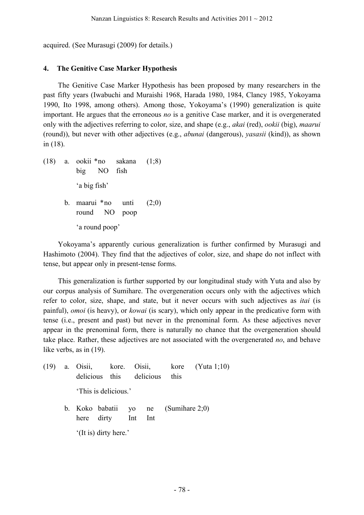acquired. (See Murasugi (2009) for details.)

### **4. The Genitive Case Marker Hypothesis**

The Genitive Case Marker Hypothesis has been proposed by many researchers in the past fifty years (Iwabuchi and Muraishi 1968, Harada 1980, 1984, Clancy 1985, Yokoyama 1990, Ito 1998, among others). Among those, Yokoyama's (1990) generalization is quite important. He argues that the erroneous *no* is a genitive Case marker, and it is overgenerated only with the adjectives referring to color, size, and shape (e.g., *akai* (red), *ookii* (big), *maarui* (round)), but never with other adjectives (e.g., *abunai* (dangerous), *yasasii* (kind)), as shown in (18).

(18) a. ookii \*no sakana (1;8) big NO fish 'a big fish' b. maarui \*no unti  $(2,0)$ round NO poop 'a round poop'

Yokoyama's apparently curious generalization is further confirmed by Murasugi and Hashimoto (2004). They find that the adjectives of color, size, and shape do not inflect with tense, but appear only in present-tense forms.

This generalization is further supported by our longitudinal study with Yuta and also by our corpus analysis of Sumihare. The overgeneration occurs only with the adjectives which refer to color, size, shape, and state, but it never occurs with such adjectives as *itai* (is painful), *omoi* (is heavy), or *kowai* (is scary), which only appear in the predicative form with tense (i.e., present and past) but never in the prenominal form. As these adjectives never appear in the prenominal form, there is naturally no chance that the overgeneration should take place. Rather, these adjectives are not associated with the overgenerated *no*, and behave like verbs, as in (19).

|  | delicious this delicious this                                |  |  | $(19)$ a. Oisii, kore. Oisii, kore (Yuta 1;10) |
|--|--------------------------------------------------------------|--|--|------------------------------------------------|
|  | 'This is delicious.'                                         |  |  |                                                |
|  | b. Koko babatii yo ne $(Sumihare 2;0)$<br>here dirty Int Int |  |  |                                                |
|  | '(It is) dirty here.'                                        |  |  |                                                |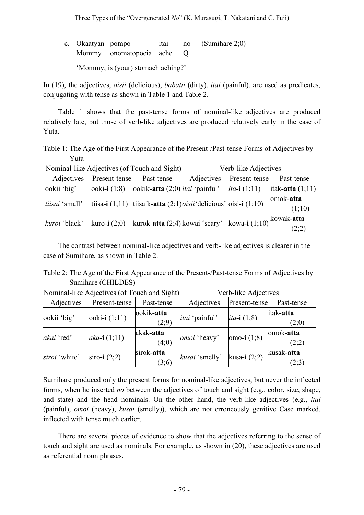| c. Okaatyan pompo |                                    |  | itai no (Sumihare 2:0) |
|-------------------|------------------------------------|--|------------------------|
|                   | Mommy onomatopoeia ache Q          |  |                        |
|                   | 'Mommy, is (your) stomach aching?' |  |                        |

In (19), the adjectives, *oisii* (delicious), *babatii* (dirty), *itai* (painful), are used as predicates, conjugating with tense as shown in Table 1 and Table 2.

Table 1 shows that the past-tense forms of nominal-like adjectives are produced relatively late, but those of verb-like adjectives are produced relatively early in the case of Yuta.

Table 1: The Age of the First Appearance of the Present-/Past-tense Forms of Adjectives by Yuta

|                |                       | Nominal-like Adjectives (of Touch and Sight)                                  | Verb-like Adjectives |                        |                     |  |  |
|----------------|-----------------------|-------------------------------------------------------------------------------|----------------------|------------------------|---------------------|--|--|
| Adjectives     | Present-tense         | Past-tense                                                                    | Adjectives           | Present-tense          | Past-tense          |  |  |
| ookii 'big'    | ooki-i $(1,8)$        | ookik-atta $(2,0)$ <i>itai</i> 'painful'                                      |                      | <i>ita</i> -i $(1;11)$ | itak-atta $(1;11)$  |  |  |
| tiisai 'small' |                       | tiisa-i $(1,11)$ tiisaik-atta $(2,1)$ <i>oisii</i> delicious' oisi-i $(1,10)$ |                      |                        | omok-atta<br>(1;10) |  |  |
| kuroi 'black'  | <b>kuro-i</b> $(2,0)$ | kurok-atta (2;4) kowai 'scary'                                                |                      | kowa-i $(1,10)$        | kowak-atta<br>(2;2) |  |  |

The contrast between nominal-like adjectives and verb-like adjectives is clearer in the case of Sumihare, as shown in Table 2.

Table 2: The Age of the First Appearance of the Present-/Past-tense Forms of Adjectives by Sumihare (CHILDES)

|               | Nominal-like Adjectives (of Touch and Sight) |                     |                       | Verb-like Adjectives  |                     |  |  |
|---------------|----------------------------------------------|---------------------|-----------------------|-----------------------|---------------------|--|--|
| Adjectives    | Present-tense                                | Past-tense          | Adjectives            | Present-tense         | Past-tense          |  |  |
| ookii 'big'   | $\text{ooki-i}(1;11)$                        | ookik-atta<br>(2;9) | <i>itai</i> 'painful' | <i>ita</i> -i $(1,8)$ | itak-atta<br>(2;0)  |  |  |
| akai 'red'    | $aka - i (1; 11)$                            | akak-atta<br>(4;0)  | omoi 'heavy'          | omo-i $(1,8)$         | omok-atta<br>(2;2)  |  |  |
| siroi 'white' | siro-i $(2,2)$                               | sirok-atta<br>(3;6) | kusai 'smelly'        | kusa-i $(2,2)$        | kusak-atta<br>(2;3) |  |  |

Sumihare produced only the present forms for nominal-like adjectives, but never the inflected forms, when he inserted *no* between the adjectives of touch and sight (e.g., color, size, shape, and state) and the head nominals. On the other hand, the verb-like adjectives (e.g., *itai* (painful), *omoi* (heavy), *kusai* (smelly)), which are not erroneously genitive Case marked, inflected with tense much earlier.

There are several pieces of evidence to show that the adjectives referring to the sense of touch and sight are used as nominals. For example, as shown in (20), these adjectives are used as referential noun phrases.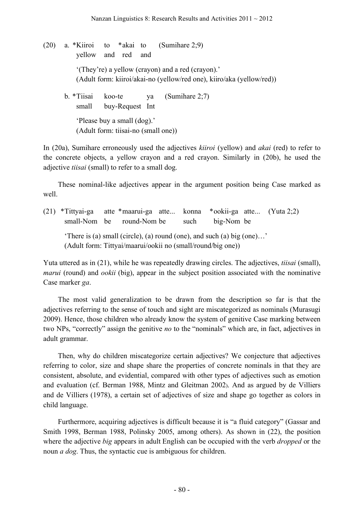(20) a. \*Kiiroi to \*akai to (Sumihare 2;9) yellow and red and '(They're) a yellow (crayon) and a red (crayon).' (Adult form: kiiroi/akai-no (yellow/red one), kiiro/aka (yellow/red)) b. \*Tiisai koo-te ya (Sumihare 2;7) small buy-Request Int 'Please buy a small (dog).' (Adult form: tiisai-no (small one))

In (20a), Sumihare erroneously used the adjectives *kiiroi* (yellow) and *akai* (red) to refer to the concrete objects, a yellow crayon and a red crayon. Similarly in (20b), he used the adjective *tiisai* (small) to refer to a small dog.

These nominal-like adjectives appear in the argument position being Case marked as well.

(21) \*Tittyai-ga atte \*maarui-ga atte... konna \*ookii-ga atte... (Yuta 2;2) small-Nom be round-Nom be such big-Nom be 'There is (a) small (circle), (a) round (one), and such (a) big (one)…' (Adult form: Tittyai/maarui/ookii no (small/round/big one))

Yuta uttered as in (21), while he was repeatedly drawing circles. The adjectives, *tiisai* (small), *marui* (round) and *ookii* (big), appear in the subject position associated with the nominative Case marker *ga*.

The most valid generalization to be drawn from the description so far is that the adjectives referring to the sense of touch and sight are miscategorized as nominals (Murasugi 2009). Hence, those children who already know the system of genitive Case marking between two NPs, "correctly" assign the genitive *no* to the "nominals" which are, in fact, adjectives in adult grammar.

Then, why do children miscategorize certain adjectives? We conjecture that adjectives referring to color, size and shape share the properties of concrete nominals in that they are consistent, absolute, and evidential, compared with other types of adjectives such as emotion and evaluation (cf. Berman 1988, Mintz and Gleitman 2002). And as argued by de Villiers and de Villiers (1978), a certain set of adjectives of size and shape go together as colors in child language.

Furthermore, acquiring adjectives is difficult because it is "a fluid category" (Gassar and Smith 1998, Berman 1988, Polinsky 2005, among others). As shown in (22), the position where the adjective *big* appears in adult English can be occupied with the verb *dropped* or the noun *a dog*. Thus, the syntactic cue is ambiguous for children.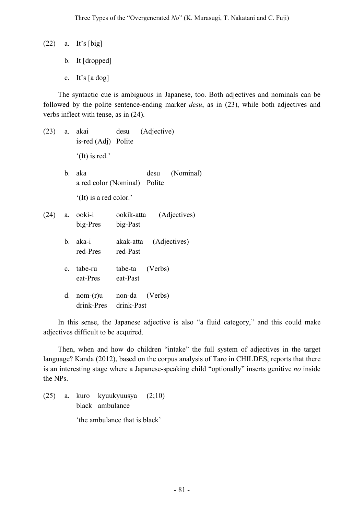- (22) a. It's [big]
	- b. It [dropped]
	- c. It's [a dog]

The syntactic cue is ambiguous in Japanese, too. Both adjectives and nominals can be followed by the polite sentence-ending marker *desu*, as in (23), while both adjectives and verbs inflect with tense, as in (24).

- (23) a. akai desu (Adjective) is-red (Adj) Polite '(It) is red.'
	- b. aka desu (Nominal) a red color (Nominal) Polite '(It) is a red color.'
- (24) a. ooki-i ookik-atta (Adjectives) big-Pres big-Past
	- b. aka-i akak-atta (Adjectives) red-Pres red-Past
	- c. tabe-ru tabe-ta (Verbs) eat-Pres eat-Past
	- d. nom-(r)u non-da (Verbs) drink-Pres drink-Past

In this sense, the Japanese adjective is also "a fluid category," and this could make adjectives difficult to be acquired.

Then, when and how do children "intake" the full system of adjectives in the target language? Kanda (2012), based on the corpus analysis of Taro in CHILDES, reports that there is an interesting stage where a Japanese-speaking child "optionally" inserts genitive *no* inside the NPs.

(25) a. kuro kyuukyuusya (2;10) black ambulance 'the ambulance that is black'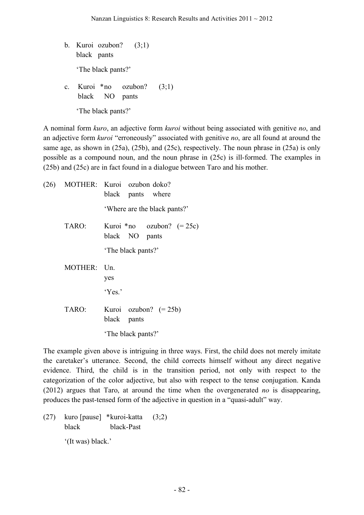- b. Kuroi ozubon?  $(3;1)$ black pants 'The black pants?'
- c. Kuroi \*no ozubon? (3;1) black NO pants 'The black pants?'

A nominal form *kuro*, an adjective form *kuroi* without being associated with genitive *no*, and an adjective form *kuroi* "erroneously" associated with genitive *no*, are all found at around the same age, as shown in (25a), (25b), and (25c), respectively. The noun phrase in (25a) is only possible as a compound noun, and the noun phrase in (25c) is ill-formed. The examples in (25b) and (25c) are in fact found in a dialogue between Taro and his mother.

|             | (26) MOTHER: Kuroi ozubon doko?<br>black pants where |
|-------------|------------------------------------------------------|
|             | 'Where are the black pants?'                         |
| TARO:       | Kuroi *no $oxubon? (= 25c)$<br>black NO pants        |
|             | The black pants?'                                    |
| MOTHER: Un. | yes                                                  |
|             | Yes.                                                 |
| TARO:       | Kuroi ozubon? $(= 25b)$<br>black<br>pants            |
|             | 'The black pants?'                                   |

The example given above is intriguing in three ways. First, the child does not merely imitate the caretaker's utterance. Second, the child corrects himself without any direct negative evidence. Third, the child is in the transition period, not only with respect to the categorization of the color adjective, but also with respect to the tense conjugation. Kanda (2012) argues that Taro, at around the time when the overgenerated *no* is disappearing, produces the past-tensed form of the adjective in question in a "quasi-adult" way.

(27) kuro [pause] \*kuroi-katta (3;2) black black-Past

'(It was) black.'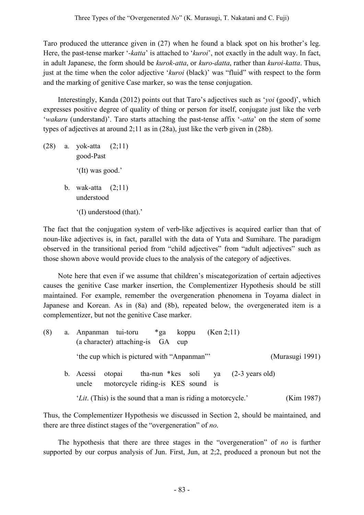Taro produced the utterance given in (27) when he found a black spot on his brother's leg. Here, the past-tense marker '*-katta*' is attached to '*kuroi*', not exactly in the adult way. In fact, in adult Japanese, the form should be *kurok-atta*, or *kuro-datta*, rather than *kuroi-katta*. Thus, just at the time when the color adjective '*kuroi* (black)' was "fluid" with respect to the form and the marking of genitive Case marker, so was the tense conjugation.

Interestingly, Kanda (2012) points out that Taro's adjectives such as '*yoi* (good)', which expresses positive degree of quality of thing or person for itself, conjugate just like the verb '*wakaru* (understand)'. Taro starts attaching the past-tense affix '*-atta*' on the stem of some types of adjectives at around 2;11 as in (28a), just like the verb given in (28b).

(28) a. yok-atta (2;11) good-Past '(It) was good.' b. wak-atta  $(2;11)$ understood '(I) understood (that).'

The fact that the conjugation system of verb-like adjectives is acquired earlier than that of noun-like adjectives is, in fact, parallel with the data of Yuta and Sumihare. The paradigm observed in the transitional period from "child adjectives" from "adult adjectives" such as those shown above would provide clues to the analysis of the category of adjectives.

Note here that even if we assume that children's miscategorization of certain adjectives causes the genitive Case marker insertion, the Complementizer Hypothesis should be still maintained. For example, remember the overgeneration phenomena in Toyama dialect in Japanese and Korean. As in (8a) and (8b), repeated below, the overgenerated item is a complementizer, but not the genitive Case marker.

| (8) | a. Anpanman tui-toru                                                   |        | (a character) attaching-is GA cup          | *ga koppu |  |  | (Ken 2;11) |                                                   |                 |  |  |  |  |
|-----|------------------------------------------------------------------------|--------|--------------------------------------------|-----------|--|--|------------|---------------------------------------------------|-----------------|--|--|--|--|
|     |                                                                        |        | 'the cup which is pictured with "Anpanman" |           |  |  |            |                                                   | (Murasugi 1991) |  |  |  |  |
|     | b. Acessi<br>uncle                                                     | otopai | motorcycle riding-is KES sound is          |           |  |  |            | tha-nun $*$ kes soli ya $(2-3 \text{ years old})$ |                 |  |  |  |  |
|     | ' <i>Lit</i> . (This) is the sound that a man is riding a motorcycle.' |        |                                            |           |  |  |            | (Kim 1987)                                        |                 |  |  |  |  |

Thus, the Complementizer Hypothesis we discussed in Section 2, should be maintained, and there are three distinct stages of the "overgeneration" of *no*.

The hypothesis that there are three stages in the "overgeneration" of *no* is further supported by our corpus analysis of Jun. First, Jun, at 2;2, produced a pronoun but not the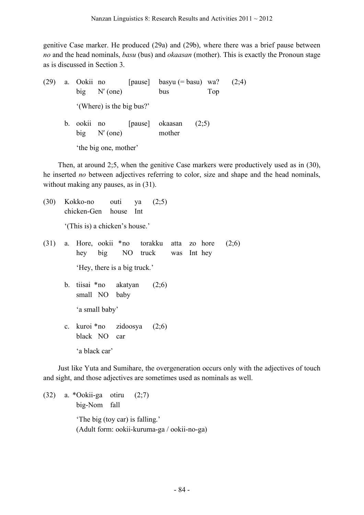genitive Case marker. He produced (29a) and (29b), where there was a brief pause between *no* and the head nominals, *basu* (bus) and *okaasan* (mother). This is exactly the Pronoun stage as is discussed in Section 3.

(29) a. Ookii no [pause] basyu (= basu) wa? (2;4) big N′ (one) bus Top '(Where) is the big bus?' b. ookii no [pause] okaasan (2;5) big N′ (one) mother 'the big one, mother'

Then, at around 2;5, when the genitive Case markers were productively used as in (30), he inserted *no* between adjectives referring to color, size and shape and the head nominals, without making any pauses, as in  $(31)$ .

(30) Kokko-no outi ya (2;5) chicken-Gen house Int

'(This is) a chicken's house.'

- (31) a. Hore, ookii \*no torakku atta zo hore (2;6) hey big NO truck was Int hey 'Hey, there is a big truck.'
	- b. tiisai \*no akatyan (2;6) small NO baby

'a small baby'

c. kuroi \*no zidoosya (2;6) black NO car 'a black car'

Just like Yuta and Sumihare, the overgeneration occurs only with the adjectives of touch and sight, and those adjectives are sometimes used as nominals as well.

(32) a. \*Ookii-ga otiru (2;7) big-Nom fall 'The big (toy car) is falling.' (Adult form: ookii-kuruma-ga / ookii-no-ga)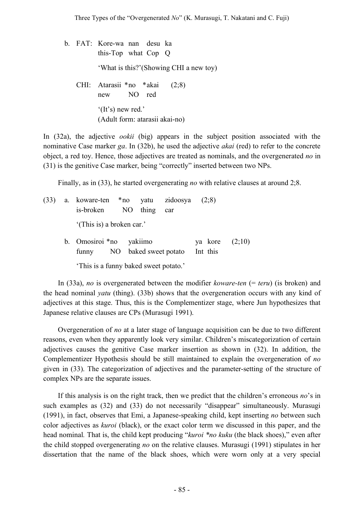b. FAT: Kore-wa nan desu ka this-Top what Cop Q 'What is this?'(Showing CHI a new toy) CHI: Atarasii \*no \*akai (2;8) new NO red '(It's) new red.' (Adult form: atarasii akai-no)

In (32a), the adjective *ookii* (big) appears in the subject position associated with the nominative Case marker *ga*. In (32b), he used the adjective *akai* (red) to refer to the concrete object, a red toy. Hence, those adjectives are treated as nominals, and the overgenerated *no* in (31) is the genitive Case marker, being "correctly" inserted between two NPs.

Finally, as in (33), he started overgenerating *no* with relative clauses at around 2;8.

(33) a. koware-ten \*no yatu zidoosya (2;8) is-broken NO thing car '(This is) a broken car.' b. Omosiroi \*no yakiimo ya kore (2;10) funny NO baked sweet potato Int this

'This is a funny baked sweet potato.'

In (33a), *no* is overgenerated between the modifier *koware-ten* (= *teru*) (is broken) and the head nominal *yatu* (thing). (33b) shows that the overgeneration occurs with any kind of adjectives at this stage. Thus, this is the Complementizer stage, where Jun hypothesizes that Japanese relative clauses are CPs (Murasugi 1991).

Overgeneration of *no* at a later stage of language acquisition can be due to two different reasons, even when they apparently look very similar. Children's miscategorization of certain adjectives causes the genitive Case marker insertion as shown in (32). In addition, the Complementizer Hypothesis should be still maintained to explain the overgeneration of *no* given in (33). The categorization of adjectives and the parameter-setting of the structure of complex NPs are the separate issues.

If this analysis is on the right track, then we predict that the children's erroneous *no*'s in such examples as (32) and (33) do not necessarily "disappear" simultaneously. Murasugi (1991), in fact, observes that Emi, a Japanese-speaking child, kept inserting *no* between such color adjectives as *kuroi* (black), or the exact color term we discussed in this paper, and the head nominal*.* That is, the child kept producing "*kuroi \*no kuku* (the black shoes)," even after the child stopped overgenerating *no* on the relative clauses. Murasugi (1991) stipulates in her dissertation that the name of the black shoes, which were worn only at a very special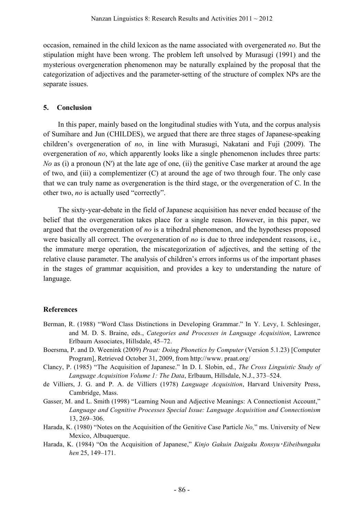occasion, remained in the child lexicon as the name associated with overgenerated *no*. But the stipulation might have been wrong. The problem left unsolved by Murasugi (1991) and the mysterious overgeneration phenomenon may be naturally explained by the proposal that the categorization of adjectives and the parameter-setting of the structure of complex NPs are the separate issues.

### **5. Conclusion**

In this paper, mainly based on the longitudinal studies with Yuta, and the corpus analysis of Sumihare and Jun (CHILDES), we argued that there are three stages of Japanese-speaking children's overgeneration of *no*, in line with Murasugi, Nakatani and Fuji (2009). The overgeneration of *no*, which apparently looks like a single phenomenon includes three parts: *No* as (i) a pronoun (N') at the late age of one, (ii) the genitive Case marker at around the age of two, and (iii) a complementizer (C) at around the age of two through four. The only case that we can truly name as overgeneration is the third stage, or the overgeneration of C. In the other two, *no* is actually used "correctly".

The sixty-year-debate in the field of Japanese acquisition has never ended because of the belief that the overgeneration takes place for a single reason. However, in this paper, we argued that the overgeneration of *no* is a trihedral phenomenon, and the hypotheses proposed were basically all correct. The overgeneration of *no* is due to three independent reasons, i.e., the immature merge operation, the miscategorization of adjectives, and the setting of the relative clause parameter. The analysis of children's errors informs us of the important phases in the stages of grammar acquisition, and provides a key to understanding the nature of language.

# **References**

- Berman, R. (1988) "Word Class Distinctions in Developing Grammar." In Y. Levy, I. Schlesinger, and M. D. S. Braine, eds., *Categories and Processes in Language Acquisition*, Lawrence Erlbaum Associates, Hillsdale, 45–72.
- Boersma, P. and D. Weenink (2009) *Praat: Doing Phonetics by Computer* (Version 5.1.23) [Computer Program], Retrieved October 31, 2009, from http://www. praat.org/
- Clancy, P. (1985) "The Acquisition of Japanese." In D. I. Slobin, ed., *The Cross Linguistic Study of Language Acquisition Volume 1: The Data*, Erlbaum, Hillsdale, N.J., 373–524.
- de Villiers, J. G. and P. A. de Villiers (1978) *Language Acquisition*, Harvard University Press, Cambridge, Mass.
- Gasser, M. and L. Smith (1998) "Learning Noun and Adjective Meanings: A Connectionist Account," *Language and Cognitive Processes Special Issue: Language Acquisition and Connectionism* 13, 269–306.
- Harada, K. (1980) "Notes on the Acquisition of the Genitive Case Particle *No,*" ms. University of New Mexico, Albuquerque.
- Harada, K. (1984) "On the Acquisition of Japanese," *Kinjo Gakuin Daigaku Ronsyu*・*Eibeibungaku hen* 25, 149–171.